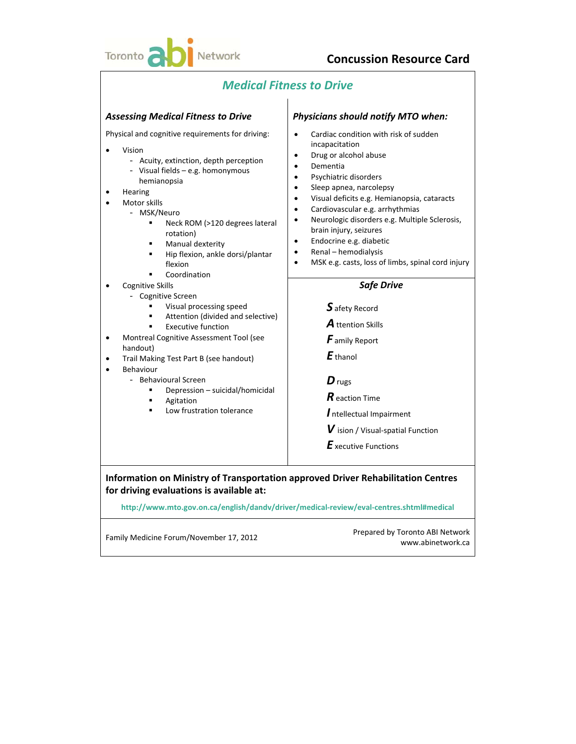

# *Medical Fitness to Drive*

| <b>Assessing Medical Fitness to Drive</b>                                                                                                                                                                                                                                                                                                                                                                                                                                                                                                                                                                                                                                                                            | Physicians should notify MTO when:                                                                                                                                                                                                                                                                                                                                                                                                                                                                                                                                                                                                                                                                                                                                                                                        |
|----------------------------------------------------------------------------------------------------------------------------------------------------------------------------------------------------------------------------------------------------------------------------------------------------------------------------------------------------------------------------------------------------------------------------------------------------------------------------------------------------------------------------------------------------------------------------------------------------------------------------------------------------------------------------------------------------------------------|---------------------------------------------------------------------------------------------------------------------------------------------------------------------------------------------------------------------------------------------------------------------------------------------------------------------------------------------------------------------------------------------------------------------------------------------------------------------------------------------------------------------------------------------------------------------------------------------------------------------------------------------------------------------------------------------------------------------------------------------------------------------------------------------------------------------------|
| Physical and cognitive requirements for driving:<br>Vision<br>- Acuity, extinction, depth perception<br>- Visual fields - e.g. homonymous<br>hemianopsia<br>Hearing<br>Motor skills<br>- MSK/Neuro<br>Neck ROM (>120 degrees lateral<br>Ξ<br>rotation)<br>Manual dexterity<br>Hip flexion, ankle dorsi/plantar<br>٠<br>flexion<br>Coordination<br><b>Cognitive Skills</b><br>- Cognitive Screen<br>Visual processing speed<br>Attention (divided and selective)<br><b>Executive function</b><br>Montreal Cognitive Assessment Tool (see<br>handout)<br>Trail Making Test Part B (see handout)<br>Behaviour<br>- Behavioural Screen<br>Depression - suicidal/homicidal<br>٠<br>Agitation<br>Low frustration tolerance | Cardiac condition with risk of sudden<br>incapacitation<br>Drug or alcohol abuse<br>$\bullet$<br>Dementia<br>$\bullet$<br>Psychiatric disorders<br>$\bullet$<br>Sleep apnea, narcolepsy<br>$\bullet$<br>Visual deficits e.g. Hemianopsia, cataracts<br>$\bullet$<br>Cardiovascular e.g. arrhythmias<br>$\bullet$<br>Neurologic disorders e.g. Multiple Sclerosis,<br>brain injury, seizures<br>Endocrine e.g. diabetic<br>$\bullet$<br>Renal - hemodialysis<br>$\bullet$<br>MSK e.g. casts, loss of limbs, spinal cord injury<br>$\bullet$<br><b>Safe Drive</b><br>$S$ afety Record<br><b>A</b> ttention Skills<br><b>F</b> amily Report<br>$E$ thanol<br>$\boldsymbol{D}$ rugs<br>$R$ eaction Time<br>Intellectual Impairment<br>$\boldsymbol{V}$ ision / Visual-spatial Function<br>$\boldsymbol{E}$ xecutive Functions |
| Information on Ministry of Transportation approved Driver Rehabilitation Centres<br>for driving evaluations is available at:                                                                                                                                                                                                                                                                                                                                                                                                                                                                                                                                                                                         |                                                                                                                                                                                                                                                                                                                                                                                                                                                                                                                                                                                                                                                                                                                                                                                                                           |
|                                                                                                                                                                                                                                                                                                                                                                                                                                                                                                                                                                                                                                                                                                                      | http://www.mto.gov.on.ca/english/dandv/driver/medical-review/eval-centres.shtml#medical                                                                                                                                                                                                                                                                                                                                                                                                                                                                                                                                                                                                                                                                                                                                   |

Family Medicine Forum/November 17, 2012<br>
Prepared by Toronto ABI Network www.abinetwork.ca